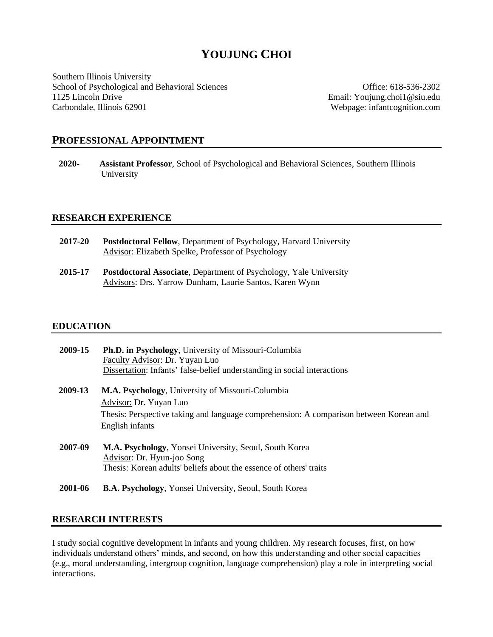# **YOUJUNG CHOI**

Southern Illinois University School of Psychological and Behavioral Sciences **Office: 618-536-2302** 1125 Lincoln Drive Email: Youjung.choi1@siu.edu Carbondale, Illinois 62901 Webpage: infantcognition.com

# **PROFESSIONAL APPOINTMENT**

**2020- Assistant Professor**, School of Psychological and Behavioral Sciences, Southern Illinois University

# **RESEARCH EXPERIENCE**

- **2017-20 Postdoctoral Fellow**, Department of Psychology, Harvard University Advisor: Elizabeth Spelke, Professor of Psychology
- **2015-17 Postdoctoral Associate**, Department of Psychology, Yale University Advisors: Drs. Yarrow Dunham, Laurie Santos, Karen Wynn

# **EDUCATION**

| 2009-15 | <b>Ph.D. in Psychology, University of Missouri-Columbia</b><br>Faculty Advisor: Dr. Yuyan Luo<br>Dissertation: Infants' false-belief understanding in social interactions |
|---------|---------------------------------------------------------------------------------------------------------------------------------------------------------------------------|
| 2009-13 | <b>M.A. Psychology</b> , University of Missouri-Columbia                                                                                                                  |
|         | Advisor: Dr. Yuyan Luo                                                                                                                                                    |
|         | Thesis: Perspective taking and language comprehension: A comparison between Korean and                                                                                    |
|         | English infants                                                                                                                                                           |
| 2007-09 | M.A. Psychology, Yonsei University, Seoul, South Korea<br>Advisor: Dr. Hyun-joo Song                                                                                      |
|         | Thesis: Korean adults' beliefs about the essence of others' traits                                                                                                        |
| 2001-06 | <b>B.A. Psychology, Yonsei University, Seoul, South Korea</b>                                                                                                             |

# **RESEARCH INTERESTS**

I study social cognitive development in infants and young children. My research focuses, first, on how individuals understand others' minds, and second, on how this understanding and other social capacities (e.g., moral understanding, intergroup cognition, language comprehension) play a role in interpreting social interactions.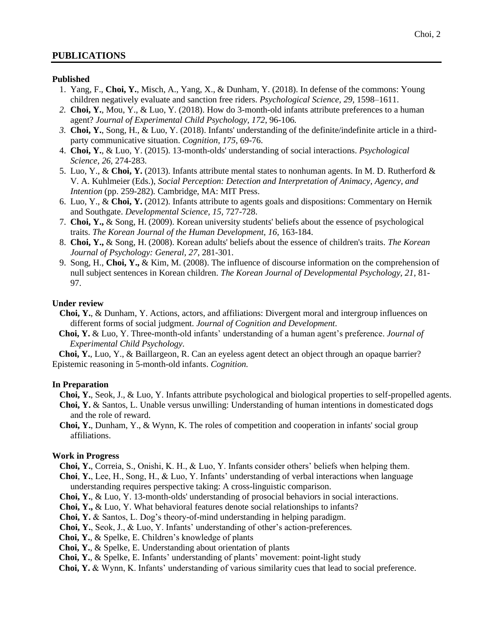#### **Published**

- 1. Yang, F., **Choi, Y.**, Misch, A., Yang, X., & Dunham, Y. (2018). In defense of the commons: Young children negatively evaluate and sanction free riders. *Psychological Science, 29,* 1598–1611.
- *2.* **Choi, Y.**, Mou, Y., & Luo, Y. (2018). How do 3-month-old infants attribute preferences to a human agent? *Journal of Experimental Child Psychology, 172*, 96-106*.*
- *3.* **Choi, Y.**, Song, H., & Luo, Y. (2018). Infants' understanding of the definite/indefinite article in a thirdparty communicative situation. *Cognition, 175,* 69-76.
- 4. **Choi, Y.**, & Luo, Y. (2015). 13-month-olds' understanding of social interactions. *Psychological Science*, *26,* 274-283.
- 5. Luo, Y., & **Choi, Y.** (2013). Infants attribute mental states to nonhuman agents. In M. D. Rutherford & V. A. Kuhlmeier (Eds.), *Social Perception: Detection and Interpretation of Animacy, Agency, and Intention* (pp. 259-282)*.* Cambridge, MA: MIT Press.
- 6. Luo, Y., & **Choi, Y.** (2012). Infants attribute to agents goals and dispositions: Commentary on Hernik and Southgate. *Developmental Science, 15,* 727-728.
- 7. **Choi, Y.,** & Song, H. (2009). Korean university students' beliefs about the essence of psychological traits. *The Korean Journal of the Human Development, 16*, 163-184.
- 8. **Choi, Y.,** & Song, H. (2008). Korean adults' beliefs about the essence of children's traits. *The Korean Journal of Psychology: General, 27*, 281-301.
- 9. Song, H., **Choi, Y.,** & Kim, M. (2008). The influence of discourse information on the comprehension of null subject sentences in Korean children. *The Korean Journal of Developmental Psychology, 21*, 81- 97.

## **Under review**

- **Choi, Y.**, & Dunham, Y. Actions, actors, and affiliations: Divergent moral and intergroup influences on different forms of social judgment. *Journal of Cognition and Development.*
- **Choi, Y.** & Luo, Y. Three-month-old infants' understanding of a human agent's preference. *Journal of Experimental Child Psychology.*

 **Choi, Y.**, Luo, Y., & Baillargeon, R. Can an eyeless agent detect an object through an opaque barrier? Epistemic reasoning in 5-month-old infants. *Cognition.*

#### **In Preparation**

- **Choi, Y.**, Seok, J., & Luo, Y. Infants attribute psychological and biological properties to self-propelled agents. **Choi, Y.** & Santos, L. Unable versus unwilling: Understanding of human intentions in domesticated dogs and the role of reward.
- **Choi, Y.**, Dunham, Y., & Wynn, K. The roles of competition and cooperation in infants' social group affiliations.

# **Work in Progress**

- **Choi, Y.**, Correia, S., Onishi, K. H., & Luo, Y. Infants consider others' beliefs when helping them. **Choi**, **Y.**, Lee, H., Song, H., & Luo, Y. Infants' understanding of verbal interactions when language
- understanding requires perspective taking: A cross-linguistic comparison.
- **Choi, Y.**, & Luo, Y. 13-month-olds' understanding of prosocial behaviors in social interactions.
- **Choi, Y.,** & Luo, Y. What behavioral features denote social relationships to infants?
- **Choi, Y.** & Santos, L. Dog's theory-of-mind understanding in helping paradigm.
- **Choi, Y.**, Seok, J., & Luo, Y. Infants' understanding of other's action-preferences.
- **Choi, Y.**, & Spelke, E. Children's knowledge of plants
- **Choi, Y.**, & Spelke, E. Understanding about orientation of plants
- **Choi, Y.**, & Spelke, E. Infants' understanding of plants' movement: point-light study
- **Choi, Y.** & Wynn, K. Infants' understanding of various similarity cues that lead to social preference.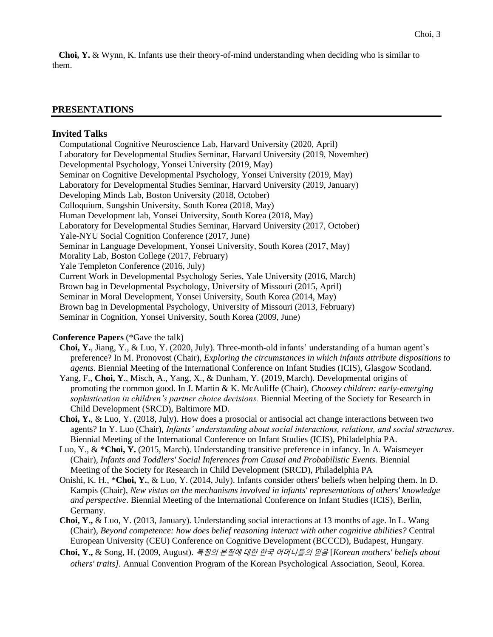**Choi, Y.** & Wynn, K. Infants use their theory-of-mind understanding when deciding who is similar to them.

# **PRESENTATIONS**

#### **Invited Talks**

Computational Cognitive Neuroscience Lab, Harvard University (2020, April) Laboratory for Developmental Studies Seminar, Harvard University (2019, November) Developmental Psychology, Yonsei University (2019, May) Seminar on Cognitive Developmental Psychology, Yonsei University (2019, May) Laboratory for Developmental Studies Seminar, Harvard University (2019, January) Developing Minds Lab, Boston University (2018, October) Colloquium, Sungshin University, South Korea (2018, May) Human Development lab, Yonsei University, South Korea (2018, May) Laboratory for Developmental Studies Seminar, Harvard University (2017, October) Yale-NYU Social Cognition Conference (2017, June) Seminar in Language Development, Yonsei University, South Korea (2017, May) Morality Lab, Boston College (2017, February) Yale Templeton Conference (2016, July) Current Work in Developmental Psychology Series, Yale University (2016, March) Brown bag in Developmental Psychology, University of Missouri (2015, April) Seminar in Moral Development, Yonsei University, South Korea (2014, May) Brown bag in Developmental Psychology, University of Missouri (2013, February) Seminar in Cognition, Yonsei University, South Korea (2009, June)

#### **Conference Papers** (\*Gave the talk)

- **Choi, Y.**, Jiang, Y., & Luo, Y. (2020, July). Three-month-old infants' understanding of a human agent's preference? In M. Pronovost (Chair), *Exploring the circumstances in which infants attribute dispositions to agents*. Biennial Meeting of the International Conference on Infant Studies (ICIS), Glasgow Scotland.
- Yang, F., **Choi, Y**., Misch, A., Yang, X., & Dunham, Y. (2019, March). Developmental origins of promoting the common good. In J. Martin & K. McAuliffe (Chair), *Choosey children: early-emerging sophistication in children's partner choice decisions.* Biennial Meeting of the Society for Research in Child Development (SRCD), Baltimore MD.
- **Choi, Y.**, & Luo, Y. (2018, July). How does a prosocial or antisocial act change interactions between two agents? In Y. Luo (Chair), *Infants' understanding about social interactions, relations, and social structures*. Biennial Meeting of the International Conference on Infant Studies (ICIS), Philadelphia PA.
- Luo, Y., & \***Choi, Y.** (2015, March). Understanding transitive preference in infancy. In A. Waismeyer (Chair), *Infants and Toddlers' Social Inferences from Causal and Probabilistic Events.* Biennial Meeting of the Society for Research in Child Development (SRCD), Philadelphia PA
- Onishi, K. H., \***Choi, Y.**, & Luo, Y. (2014, July). Infants consider others' beliefs when helping them. In D. Kampis (Chair), *New vistas on the mechanisms involved in infants' representations of others' knowledge and perspective*. Biennial Meeting of the International Conference on Infant Studies (ICIS), Berlin, Germany.
- **Choi, Y.,** & Luo, Y. (2013, January). Understanding social interactions at 13 months of age. In L. Wang (Chair), *Beyond competence: how does belief reasoning interact with other cognitive abilities?* Central European University (CEU) Conference on Cognitive Development (BCCCD), Budapest, Hungary.
- **Choi, Y.,** & Song, H. (2009, August). 특질의 본질에 대한 한국 어머니들의 믿음 [*Korean mothers' beliefs about others' traits].* Annual Convention Program of the Korean Psychological Association, Seoul, Korea.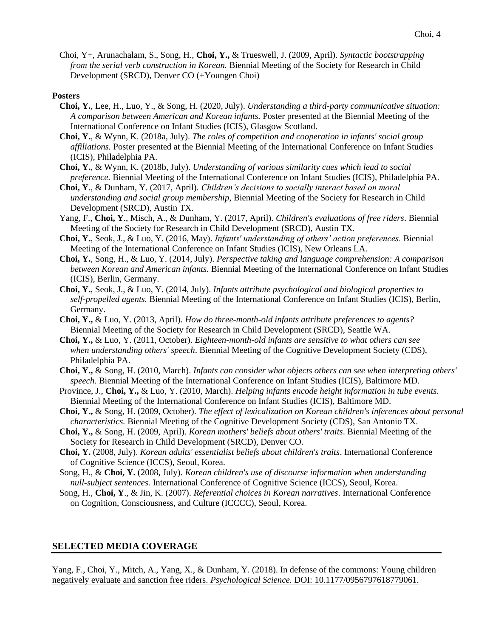Choi, Y+, Arunachalam, S., Song, H., **Choi, Y.,** & Trueswell, J. (2009, April). *Syntactic bootstrapping from the serial verb construction in Korean.* Biennial Meeting of the Society for Research in Child Development (SRCD), Denver CO (+Youngen Choi)

#### **Posters**

- **Choi, Y.**, Lee, H., Luo, Y., & Song, H. (2020, July). *Understanding a third-party communicative situation: A comparison between American and Korean infants.* Poster presented at the Biennial Meeting of the International Conference on Infant Studies (ICIS), Glasgow Scotland.
- **Choi, Y.**, & Wynn, K. (2018a, July). *The roles of competition and cooperation in infants' social group affiliations.* Poster presented at the Biennial Meeting of the International Conference on Infant Studies (ICIS), Philadelphia PA.
- **Choi, Y.**, & Wynn, K. (2018b, July). *Understanding of various similarity cues which lead to social preference.* Biennial Meeting of the International Conference on Infant Studies (ICIS), Philadelphia PA.
- **Choi, Y**., & Dunham, Y. (2017, April). *Children's decisions to socially interact based on moral understanding and social group membership*, Biennial Meeting of the Society for Research in Child Development (SRCD), Austin TX.
- Yang, F., **Choi, Y**., Misch, A., & Dunham, Y. (2017, April). *Children's evaluations of free riders*. Biennial Meeting of the Society for Research in Child Development (SRCD), Austin TX.
- **Choi, Y.**, Seok, J., & Luo, Y. (2016, May). *Infants' understanding of others' action preferences.* Biennial Meeting of the International Conference on Infant Studies (ICIS), New Orleans LA.
- **Choi, Y.**, Song, H., & Luo, Y. (2014, July). *Perspective taking and language comprehension: A comparison between Korean and American infants.* Biennial Meeting of the International Conference on Infant Studies (ICIS), Berlin, Germany.
- **Choi, Y.**, Seok, J., & Luo, Y. (2014, July). *Infants attribute psychological and biological properties to self-propelled agents.* Biennial Meeting of the International Conference on Infant Studies (ICIS), Berlin, Germany.
- **Choi, Y.,** & Luo, Y. (2013, April). *How do three-month-old infants attribute preferences to agents?*  Biennial Meeting of the Society for Research in Child Development (SRCD), Seattle WA.
- **Choi, Y.,** & Luo, Y. (2011, October). *Eighteen-month-old infants are sensitive to what others can see when understanding others' speech*. Biennial Meeting of the Cognitive Development Society (CDS), Philadelphia PA.
- **Choi, Y.,** & Song, H. (2010, March). *Infants can consider what objects others can see when interpreting others' speech.* Biennial Meeting of the International Conference on Infant Studies (ICIS), Baltimore MD.
- Province, J., **Choi, Y.,** & Luo, Y. (2010, March). *Helping infants encode height information in tube events.*  Biennial Meeting of the International Conference on Infant Studies (ICIS), Baltimore MD.
- **Choi, Y.,** & Song, H. (2009, October). *The effect of lexicalization on Korean children's inferences about personal characteristics.* Biennial Meeting of the Cognitive Development Society (CDS), San Antonio TX.
- **Choi, Y.,** & Song, H. (2009, April). *Korean mothers' beliefs about others' traits*. Biennial Meeting of the Society for Research in Child Development (SRCD), Denver CO.
- **Choi, Y.** (2008, July). *Korean adults' essentialist beliefs about children's traits*. International Conference of Cognitive Science (ICCS), Seoul, Korea.
- Song, H., & **Choi, Y.** (2008, July). *Korean children's use of discourse information when understanding null-subject sentences.* International Conference of Cognitive Science (ICCS), Seoul, Korea.
- Song, H., **Choi, Y**., & Jin, K. (2007). *Referential choices in Korean narratives*. International Conference on Cognition, Consciousness, and Culture (ICCCC), Seoul, Korea.

#### **SELECTED MEDIA COVERAGE**

Yang, F., Choi, Y., Mitch, A., Yang, X., & Dunham, Y. (2018). In defense of the commons: Young children negatively evaluate and sanction free riders. *Psychological Science.* DOI: 10.1177/0956797618779061.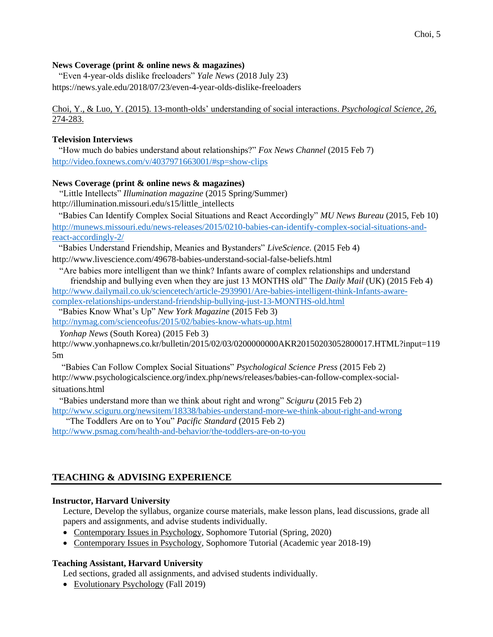# **News Coverage (print & online news & magazines)**

 "Even 4-year-olds dislike freeloaders" *Yale News* (2018 July 23) https://news.yale.edu/2018/07/23/even-4-year-olds-dislike-freeloaders

Choi, Y., & Luo, Y. (2015). 13-month-olds' understanding of social interactions. *Psychological Science, 26,*  274-283.

# **Television Interviews**

 "How much do babies understand about relationships?" *Fox News Channel* (2015 Feb 7) <http://video.foxnews.com/v/4037971663001/#sp=show-clips>

# **News Coverage (print & online news & magazines)**

"Little Intellects" *Illumination magazine* (2015 Spring/Summer) http://illumination.missouri.edu/s15/little\_intellects

 "Babies Can Identify Complex Social Situations and React Accordingly" *MU News Bureau* (2015, Feb 10) [http://munews.missouri.edu/news-releases/2015/0210-babies-can-identify-complex-social-situations-and](http://munews.missouri.edu/news-releases/2015/0210-babies-can-identify-complex-social-situations-and-react-accordingly-2/)[react-accordingly-2/](http://munews.missouri.edu/news-releases/2015/0210-babies-can-identify-complex-social-situations-and-react-accordingly-2/)

"Babies Understand Friendship, Meanies and Bystanders" *LiveScience.* (2015 Feb 4)

http://www.livescience.com/49678-babies-understand-social-false-beliefs.html

"Are babies more intelligent than we think? Infants aware of complex relationships and understand friendship and bullying even when they are just 13 MONTHS old" The *Daily Mail* (UK) (2015 Feb 4) [http://www.dailymail.co.uk/sciencetech/article-2939901/Are-babies-intelligent-think-Infants-aware-](http://www.dailymail.co.uk/sciencetech/article-2939901/Are-babies-intelligent-think-Infants-aware-complex-relationships-understand-friendship-bullying-just-13-MONTHS-old.html)

[complex-relationships-understand-friendship-bullying-just-13-MONTHS-old.html](http://www.dailymail.co.uk/sciencetech/article-2939901/Are-babies-intelligent-think-Infants-aware-complex-relationships-understand-friendship-bullying-just-13-MONTHS-old.html)

"Babies Know What's Up" *New York Magazine* (2015 Feb 3)

<http://nymag.com/scienceofus/2015/02/babies-know-whats-up.html>

*Yonhap News* (South Korea) (2015 Feb 3)

http://www.yonhapnews.co.kr/bulletin/2015/02/03/0200000000AKR20150203052800017.HTML?input=119 5m

"Babies Can Follow Complex Social Situations" *Psychological Science Press* (2015 Feb 2) http://www.psychologicalscience.org/index.php/news/releases/babies-can-follow-complex-socialsituations.html

"Babies understand more than we think about right and wrong" *Sciguru* (2015 Feb 2) <http://www.sciguru.org/newsitem/18338/babies-understand-more-we-think-about-right-and-wrong>

 "The Toddlers Are on to You" *Pacific Standard* (2015 Feb 2) <http://www.psmag.com/health-and-behavior/the-toddlers-are-on-to-you>

# **TEACHING & ADVISING EXPERIENCE**

# **Instructor, Harvard University**

Lecture, Develop the syllabus, organize course materials, make lesson plans, lead discussions, grade all papers and assignments, and advise students individually.

- Contemporary Issues in Psychology, Sophomore Tutorial (Spring, 2020)
- Contemporary Issues in Psychology, Sophomore Tutorial (Academic year 2018-19)

# **Teaching Assistant, Harvard University**

Led sections, graded all assignments, and advised students individually.

• Evolutionary Psychology (Fall 2019)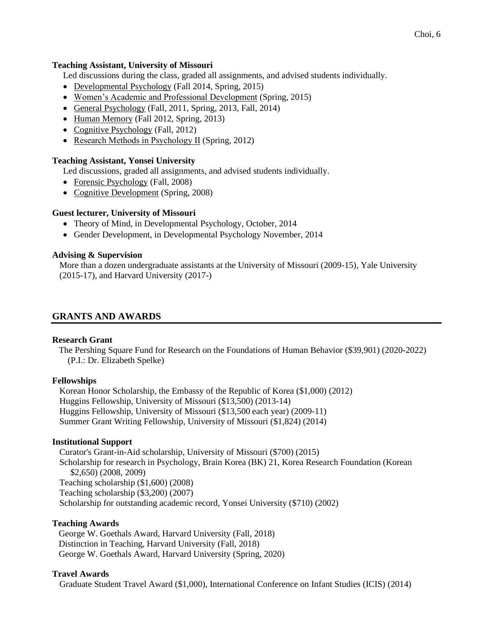#### **Teaching Assistant, University of Missouri**

Led discussions during the class, graded all assignments, and advised students individually.

- Developmental Psychology (Fall 2014, Spring, 2015)
- Women's Academic and Professional Development (Spring, 2015)
- General Psychology (Fall, 2011, Spring, 2013, Fall, 2014)
- Human Memory (Fall 2012, Spring, 2013)
- Cognitive Psychology (Fall, 2012)
- Research Methods in Psychology ΙІ (Spring, 2012)

# **Teaching Assistant, Yonsei University**

Led discussions, graded all assignments, and advised students individually.

- Forensic Psychology (Fall, 2008)
- Cognitive Development (Spring, 2008)

# **Guest lecturer, University of Missouri**

- Theory of Mind, in Developmental Psychology, October, 2014
- Gender Development, in Developmental Psychology November, 2014

## **Advising & Supervision**

More than a dozen undergraduate assistants at the University of Missouri (2009-15), Yale University (2015-17), and Harvard University (2017-)

# **GRANTS AND AWARDS**

#### **Research Grant**

 The Pershing Square Fund for Research on the Foundations of Human Behavior (\$39,901) (2020-2022) (P.I.: Dr. Elizabeth Spelke)

#### **Fellowships**

Korean Honor Scholarship, the Embassy of the Republic of Korea (\$1,000) (2012) Huggins Fellowship, University of Missouri (\$13,500) (2013-14) Huggins Fellowship, University of Missouri (\$13,500 each year) (2009-11) Summer Grant Writing Fellowship, University of Missouri (\$1,824) (2014)

#### **Institutional Support**

Curator's Grant-in-Aid scholarship, University of Missouri (\$700) (2015) Scholarship for research in Psychology, Brain Korea (BK) 21, Korea Research Foundation (Korean \$2,650) (2008, 2009) Teaching scholarship (\$1,600) (2008) Teaching scholarship (\$3,200) (2007) Scholarship for outstanding academic record, Yonsei University (\$710) (2002)

#### **Teaching Awards**

 George W. Goethals Award, Harvard University (Fall, 2018) Distinction in Teaching, Harvard University (Fall, 2018) George W. Goethals Award, Harvard University (Spring, 2020)

#### **Travel Awards**

Graduate Student Travel Award (\$1,000), International Conference on Infant Studies (ICIS) (2014)